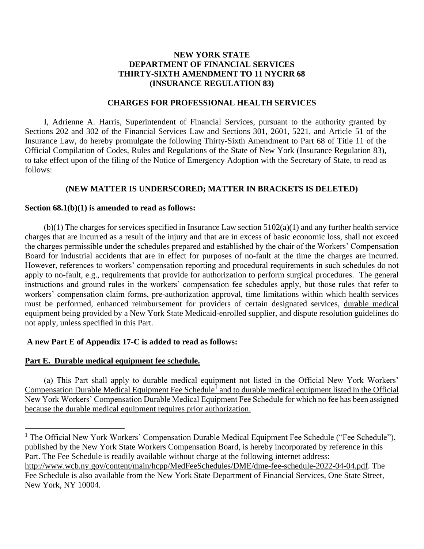# **NEW YORK STATE DEPARTMENT OF FINANCIAL SERVICES THIRTY-SIXTH AMENDMENT TO 11 NYCRR 68 (INSURANCE REGULATION 83)**

## **CHARGES FOR PROFESSIONAL HEALTH SERVICES**

I, Adrienne A. Harris, Superintendent of Financial Services, pursuant to the authority granted by Sections 202 and 302 of the Financial Services Law and Sections 301, 2601, 5221, and Article 51 of the Insurance Law, do hereby promulgate the following Thirty-Sixth Amendment to Part 68 of Title 11 of the Official Compilation of Codes, Rules and Regulations of the State of New York (Insurance Regulation 83), to take effect upon of the filing of the Notice of Emergency Adoption with the Secretary of State, to read as follows:

## **(NEW MATTER IS UNDERSCORED; MATTER IN BRACKETS IS DELETED)**

#### **Section 68.1(b)(1) is amended to read as follows:**

 $(b)(1)$  The charges for services specified in Insurance Law section  $5102(a)(1)$  and any further health service charges that are incurred as a result of the injury and that are in excess of basic economic loss, shall not exceed the charges permissible under the schedules prepared and established by the chair of the Workers' Compensation Board for industrial accidents that are in effect for purposes of no-fault at the time the charges are incurred. However, references to workers' compensation reporting and procedural requirements in such schedules do not apply to no-fault, e.g., requirements that provide for authorization to perform surgical procedures. The general instructions and ground rules in the workers' compensation fee schedules apply, but those rules that refer to workers' compensation claim forms, pre-authorization approval, time limitations within which health services must be performed, enhanced reimbursement for providers of certain designated services, durable medical equipment being provided by a New York State Medicaid-enrolled supplier, and dispute resolution guidelines do not apply, unless specified in this Part.

## **A new Part E of Appendix 17-C is added to read as follows:**

#### **Part E. Durable medical equipment fee schedule.**

(a) This Part shall apply to durable medical equipment not listed in the Official New York Workers' Compensation Durable Medical Equipment Fee Schedule<sup>1</sup> and to durable medical equipment listed in the Official New York Workers' Compensation Durable Medical Equipment Fee Schedule for which no fee has been assigned because the durable medical equipment requires prior authorization.

<sup>&</sup>lt;sup>1</sup> The Official New York Workers' Compensation Durable Medical Equipment Fee Schedule ("Fee Schedule"), published by the New York State Workers Compensation Board, is hereby incorporated by reference in this Part. The Fee Schedule is readily available without charge at the following internet address: [http://www.wcb.ny.gov/content/main/hcpp/MedFeeSchedules/DME/dme-fee-schedule-2022-04-04.pdf.](https://gcc02.safelinks.protection.outlook.com/?url=http%3A%2F%2Fwww.wcb.ny.gov%2Fcontent%2Fmain%2Fhcpp%2FMedFeeSchedules%2FDME%2Fdme-fee-schedule-2022-04-04.pdf&data=04%7C01%7CSally.Geisel%40dfs.ny.gov%7C680a7dfa166e498495ca08da170fca08%7Cf46cb8ea79004d108ceb80e8c1c81ee7%7C0%7C0%7C637847653820323719%7CUnknown%7CTWFpbGZsb3d8eyJWIjoiMC4wLjAwMDAiLCJQIjoiV2luMzIiLCJBTiI6Ik1haWwiLCJXVCI6Mn0%3D%7C3000&sdata=jK2OjSxOUbUydLC7Y%2B86FPG4aNMMhEAo8uaUiG7nmzU%3D&reserved=0) The

Fee Schedule is also available from the New York State Department of Financial Services, One State Street, New York, NY 10004.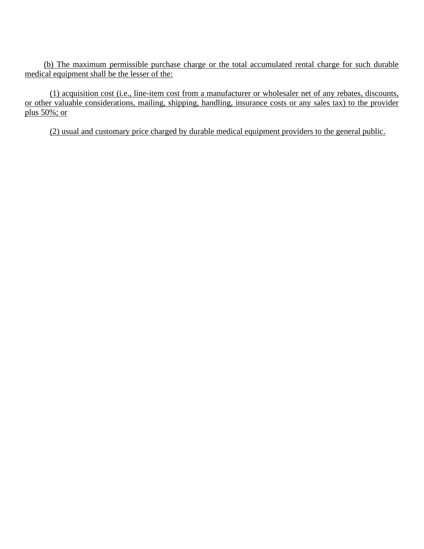(b) The maximum permissible purchase charge or the total accumulated rental charge for such durable medical equipment shall be the lesser of the:

(1) acquisition cost (i.e., line-item cost from a manufacturer or wholesaler net of any rebates, discounts, or other valuable considerations, mailing, shipping, handling, insurance costs or any sales tax) to the provider plus 50%; or

(2) usual and customary price charged by durable medical equipment providers to the general public.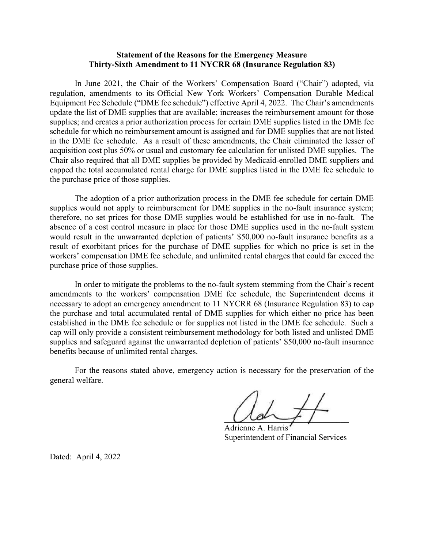#### **Statement of the Reasons for the Emergency Measure Thirty-Sixth Amendment to 11 NYCRR 68 (Insurance Regulation 83)**

In June 2021, the Chair of the Workers' Compensation Board ("Chair") adopted, via regulation, amendments to its Official New York Workers' Compensation Durable Medical Equipment Fee Schedule ("DME fee schedule") effective April 4, 2022. The Chair's amendments update the list of DME supplies that are available; increases the reimbursement amount for those supplies; and creates a prior authorization process for certain DME supplies listed in the DME fee schedule for which no reimbursement amount is assigned and for DME supplies that are not listed in the DME fee schedule. As a result of these amendments, the Chair eliminated the lesser of acquisition cost plus 50% or usual and customary fee calculation for unlisted DME supplies. The Chair also required that all DME supplies be provided by Medicaid-enrolled DME suppliers and capped the total accumulated rental charge for DME supplies listed in the DME fee schedule to the purchase price of those supplies.

The adoption of a prior authorization process in the DME fee schedule for certain DME supplies would not apply to reimbursement for DME supplies in the no-fault insurance system; therefore, no set prices for those DME supplies would be established for use in no-fault. The absence of a cost control measure in place for those DME supplies used in the no-fault system would result in the unwarranted depletion of patients' \$50,000 no-fault insurance benefits as a result of exorbitant prices for the purchase of DME supplies for which no price is set in the workers' compensation DME fee schedule, and unlimited rental charges that could far exceed the purchase price of those supplies.

In order to mitigate the problems to the no-fault system stemming from the Chair's recent amendments to the workers' compensation DME fee schedule, the Superintendent deems it necessary to adopt an emergency amendment to 11 NYCRR 68 (Insurance Regulation 83) to cap the purchase and total accumulated rental of DME supplies for which either no price has been established in the DME fee schedule or for supplies not listed in the DME fee schedule. Such a cap will only provide a consistent reimbursement methodology for both listed and unlisted DME supplies and safeguard against the unwarranted depletion of patients' \$50,000 no-fault insurance benefits because of unlimited rental charges.

For the reasons stated above, emergency action is necessary for the preservation of the general welfare.

 $U$ 

Adrienne A. Harris Superintendent of Financial Services

Dated: April 4, 2022